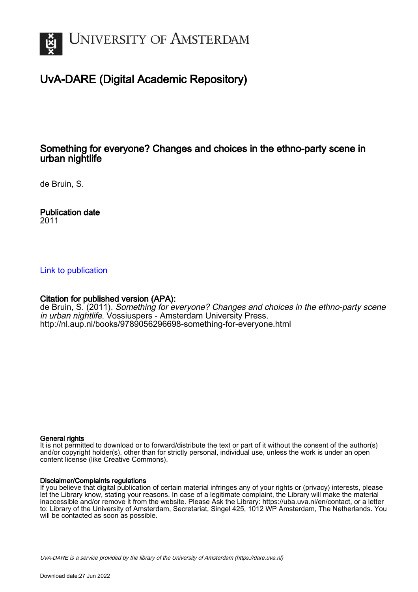

# UvA-DARE (Digital Academic Repository)

# Something for everyone? Changes and choices in the ethno-party scene in urban nightlife

de Bruin, S.

Publication date 2011

### [Link to publication](https://dare.uva.nl/personal/pure/en/publications/something-for-everyone-changes-and-choices-in-the-ethnoparty-scene-in-urban-nightlife(3408d2e9-d130-41c3-94a0-d4d03e4e2675).html)

### Citation for published version (APA):

de Bruin, S. (2011). Something for everyone? Changes and choices in the ethno-party scene in urban nightlife. Vossiuspers - Amsterdam University Press. <http://nl.aup.nl/books/9789056296698-something-for-everyone.html>

#### General rights

It is not permitted to download or to forward/distribute the text or part of it without the consent of the author(s) and/or copyright holder(s), other than for strictly personal, individual use, unless the work is under an open content license (like Creative Commons).

#### Disclaimer/Complaints regulations

If you believe that digital publication of certain material infringes any of your rights or (privacy) interests, please let the Library know, stating your reasons. In case of a legitimate complaint, the Library will make the material inaccessible and/or remove it from the website. Please Ask the Library: https://uba.uva.nl/en/contact, or a letter to: Library of the University of Amsterdam, Secretariat, Singel 425, 1012 WP Amsterdam, The Netherlands. You will be contacted as soon as possible.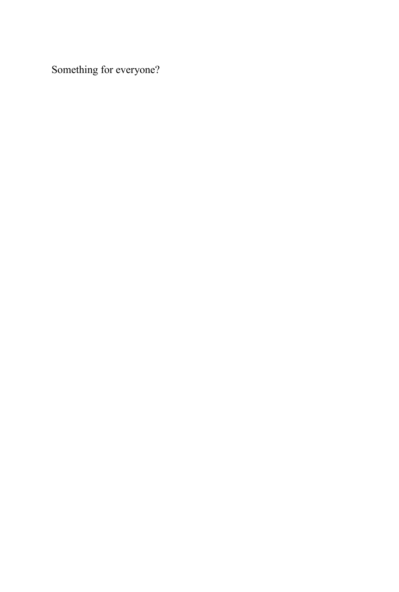Something for everyone?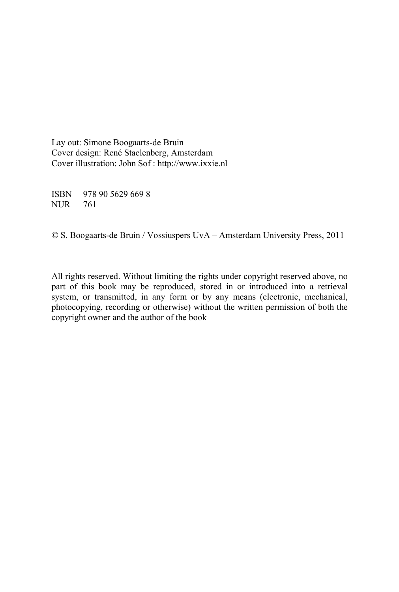Lay out: Simone Boogaarts-de Bruin Cover design: René Staelenberg, Amsterdam Cover illustration: John Sof : http://www.ixxie.nl

ISBN 978 90 5629 669 8 NUR 761

© S. Boogaarts-de Bruin / Vossiuspers UvA – Amsterdam University Press, 2011

All rights reserved. Without limiting the rights under copyright reserved above, no part of this book may be reproduced, stored in or introduced into a retrieval system, or transmitted, in any form or by any means (electronic, mechanical, photocopying, recording or otherwise) without the written permission of both the copyright owner and the author of the book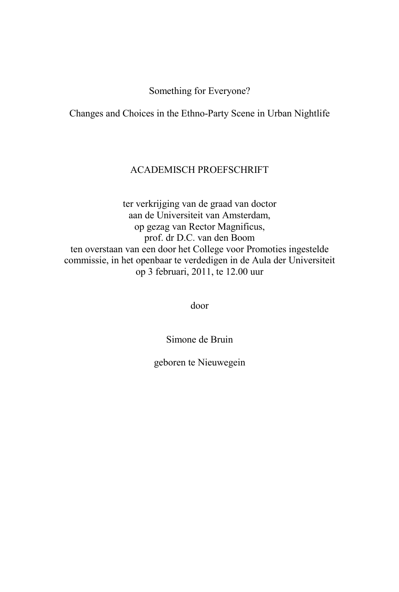#### Something for Everyone?

Changes and Choices in the Ethno-Party Scene in Urban Nightlife

#### ACADEMISCH PROEFSCHRIFT

ter verkrijging van de graad van doctor aan de Universiteit van Amsterdam, op gezag van Rector Magnificus, prof. dr D.C. van den Boom ten overstaan van een door het College voor Promoties ingestelde commissie, in het openbaar te verdedigen in de Aula der Universiteit op 3 februari, 2011, te 12.00 uur

door

Simone de Bruin

geboren te Nieuwegein